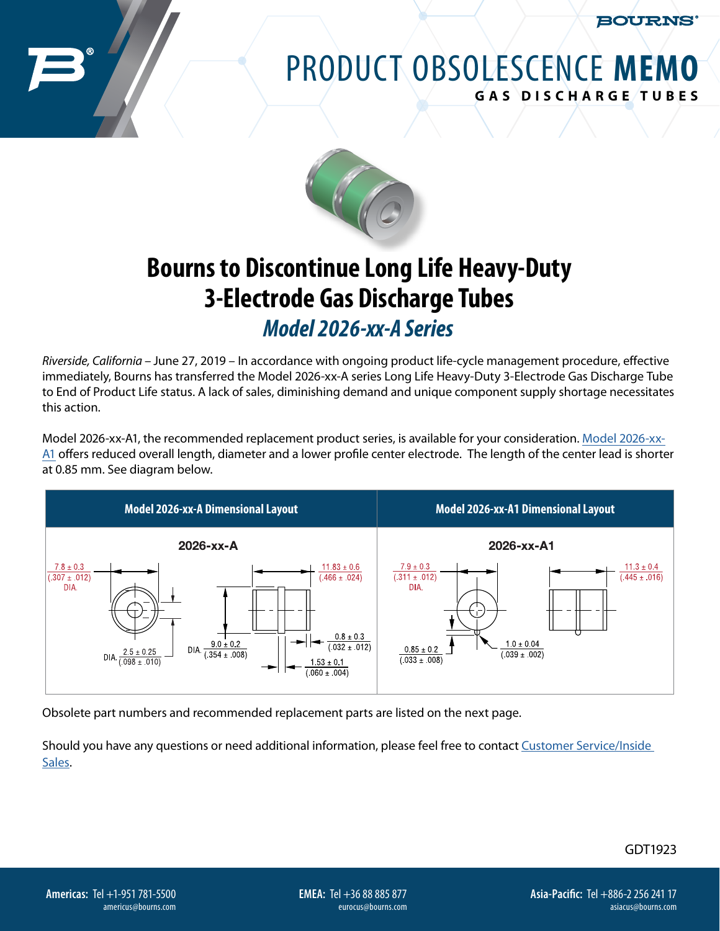**BOURNS** 

## PRODUCT OBSOLESCENCE **MEMO GAS DISCHARGE TUBES**



## **Bourns to Discontinue Long Life Heavy-Duty 3-Electrode Gas Discharge Tubes** *Model 2026-xx-A Series*

*Riverside, California* – June 27, 2019 – In accordance with ongoing product life-cycle management procedure, effective immediately, Bourns has transferred the Model 2026-xx-A series Long Life Heavy-Duty 3-Electrode Gas Discharge Tube to End of Product Life status. A lack of sales, diminishing demand and unique component supply shortage necessitates this action.

Model 2026-xx-A1, the recommended replacement product series, is available for your consideration. [Model 2026-xx-](https://bourns.com/docs/product-datasheets/2026.pdf)[A1](https://bourns.com/docs/product-datasheets/2026.pdf) offers reduced overall length, diameter and a lower profile center electrode. The length of the center lead is shorter at 0.85 mm. See diagram below.



Obsolete part numbers and recommended replacement parts are listed on the next page.

Should you have any questions or need additional information, please feel free to contact [Customer Service/Inside](https://bourns.com/support/contact)  [Sales](https://bourns.com/support/contact).